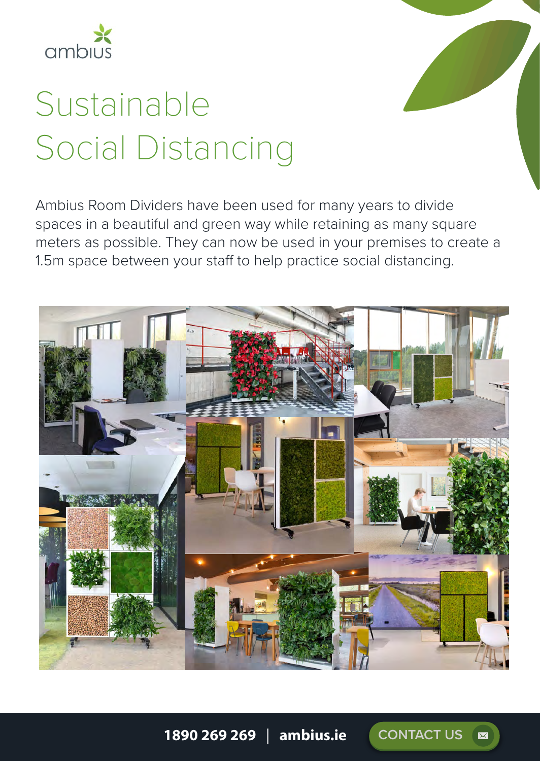

# Sustainable Social Distancing

Ambius Room Dividers have been used for many years to divide spaces in a beautiful and green way while retaining as many square meters as possible. They can now be used in your premises to create a 1.5m space between your staff to help practice social distancing.